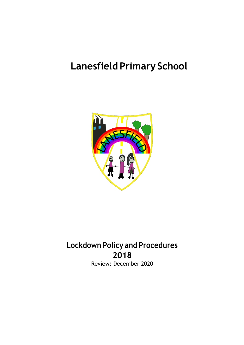# **Lanesfield Primary School**



# **Lockdown Policy and Procedures 2018** Review: December 2020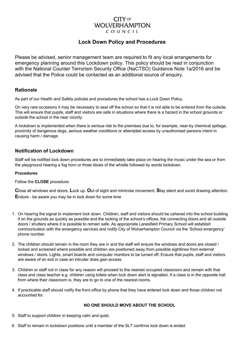# **CITY** OF **WOLVERHAMPTON** COUNCIL

# **Lock Down Policy and Procedures**

Please be advised, senior management team are required to fit any local arrangements for emergency planning around this Lockdown policy. This policy should be read in conjunction with the National Counter Terrorism Security Office (NaCTSO) Guidance Note 1a/2016 and be advised that the Police could be contacted as an additional source of enquiry.

# **Rationale**

As part of our Health and Safety policies and procedures the school has a Lock Down Policy.

On very rare occasions it may be necessary to seal off the school so that it is not able to be entered from the outside. This will ensure that pupils, staff and visitors are safe in situations where there is a hazard in the school grounds or outside the school in the near vicinity.

A lockdown is implemented when there is serious risk to the premises due to, for example, near-by chemical spillage, proximity of dangerous dogs, serious weather conditions or attempted access by unauthorised persons intent in causing harm / damage.

# **Notification of Lockdown**

Staff will be notified lock down procedures are to immediately take place on hearing the music under the sea or from the playground hearing a fog horn or three blows of the whistle followed by words lockdown.

#### **Procedures**

Follow the **CLOSE** procedure:

**C**lose all windows and doors. **L**ock up. **O**ut of sight and minimise movement. **S**tay silent and avoid drawing attention. **E**ndure - be aware you may be in lock down for some time

- 1. On hearing the signal to implement lock down. Children, staff and visitors should be ushered into the school building if on the grounds as quickly as possible and the locking of the school's offices, fob connecting doors and all outside doors / shutters where it is possible to remain safe. As appropriate Lanesfield Primary School will establish communication with the emergency services and notify City of Wolverhampton Council via the 'School emergency' phone number.
- 2. The children should remain in the room they are in and the staff will ensure the windows and doors are closed / locked and screened where possible and children are positioned away from possible sightlines from external windows / doors. Lights, smart boards and computer monitors to be turned off. Ensure that pupils, staff and visitors are aware of an exit in case an intruder does gain access.
- 3. Children or staff not in class for any reason will proceed to the nearest occupied classroom and remain with that class and class teacher e.g. children using toilets when lock down alert is signalled. If a class is in the opposite hall from where their classroom is, they are to go to one of the nearest rooms.
- 4. If practicable staff should notify the front office by phone that they have entered lock down and those children not accounted for.

# **NO ONE SHOULD MOVE ABOUT THE SCHOOL**

- 5. Staff to support children in keeping calm and quiet.
- 6. Staff to remain in lockdown positions until a member of the SLT confirms lock down is ended.